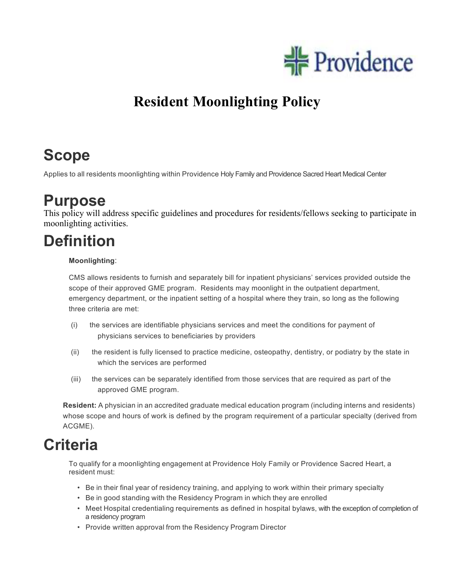

## **Resident Moonlighting Policy**

# **Scope**

Applies to all residents moonlighting within Providence Holy Family and Providence Sacred Heart Medical Center

### **Purpose**

This policy will address specific guidelines and procedures for residents/fellows seeking to participate in moonlighting activities.

# **Definition**

#### **Moonlighting**:

CMS allows residents to furnish and separately bill for inpatient physicians' services provided outside the scope of their approved GME program. Residents may moonlight in the outpatient department, emergency department, or the inpatient setting of a hospital where they train, so long as the following three criteria are met:

- (i) the services are identifiable physicians services and meet the conditions for payment of physicians services to beneficiaries by providers
- (ii) the resident is fully licensed to practice medicine, osteopathy, dentistry, or podiatry by the state in which the services are performed
- (iii) the services can be separately identified from those services that are required as part of the approved GME program.

**Resident:** A physician in an accredited graduate medical education program (including interns and residents) whose scope and hours of work is defined by the program requirement of a particular specialty (derived from ACGME).

### **Criteria**

To qualify for a moonlighting engagement at Providence Holy Family or Providence Sacred Heart, a resident must:

- Be in their final year of residency training, and applying to work within their primary specialty
- Be in good standing with the Residency Program in which they are enrolled
- Meet Hospital credentialing requirements as defined in hospital bylaws, with the exception of completion of a residency program
- Provide written approval from the Residency Program Director